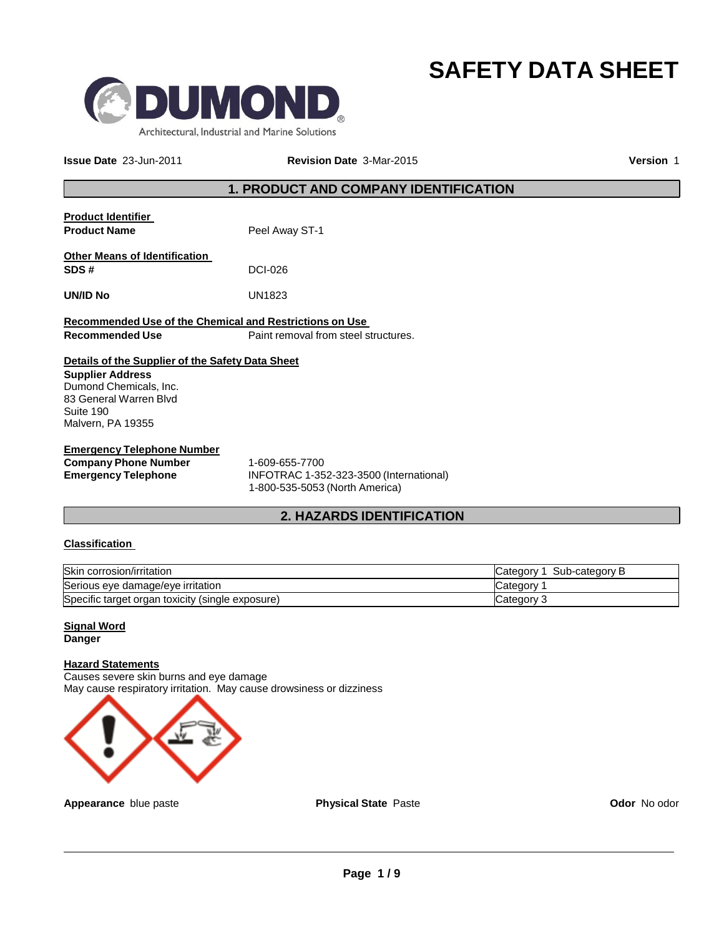



**Issue Date** 23-Jun-2011 **Revision Date** 3-Mar-2015 **Version** 1

### **1. PRODUCT AND COMPANY IDENTIFICATION**

| <b>Product Identifier</b><br><b>Product Name</b>                                                                                                                  | Peel Away ST-1                       |
|-------------------------------------------------------------------------------------------------------------------------------------------------------------------|--------------------------------------|
| <b>Other Means of Identification</b><br>SDS#                                                                                                                      | DCI-026                              |
| <b>UN/ID No</b>                                                                                                                                                   | UN1823                               |
| Recommended Use of the Chemical and Restrictions on Use<br>Recommended Use                                                                                        | Paint removal from steel structures. |
| Details of the Supplier of the Safety Data Sheet<br><b>Supplier Address</b><br>Dumond Chemicals, Inc.<br>83 General Warren Blvd<br>Suite 190<br>Malvern, PA 19355 |                                      |
| <b>Emergency Telephone Number</b>                                                                                                                                 |                                      |

**Company Phone Number** 1-609-655-7700<br> **Emergency Telephone INFOTRAC 1-35 Emergency Telephone** INFOTRAC 1-352-323-3500 (International) 1-800-535-5053 (North America)

### **2. HAZARDS IDENTIFICATION**

### **Classification**

| Skin corrosion/irritation                        | Sub-category B<br>Category 1 |
|--------------------------------------------------|------------------------------|
| Serious eye damage/eye irritation                | Category                     |
| Specific target organ toxicity (single exposure) | Category 3                   |

#### **Signal Word Danger**

#### **Hazard Statements**

Causes severe skin burns and eye damage May cause respiratory irritation. May cause drowsiness or dizziness



**Appearance** blue paste **Physical State** Paste **Paste Codor** No odor No odor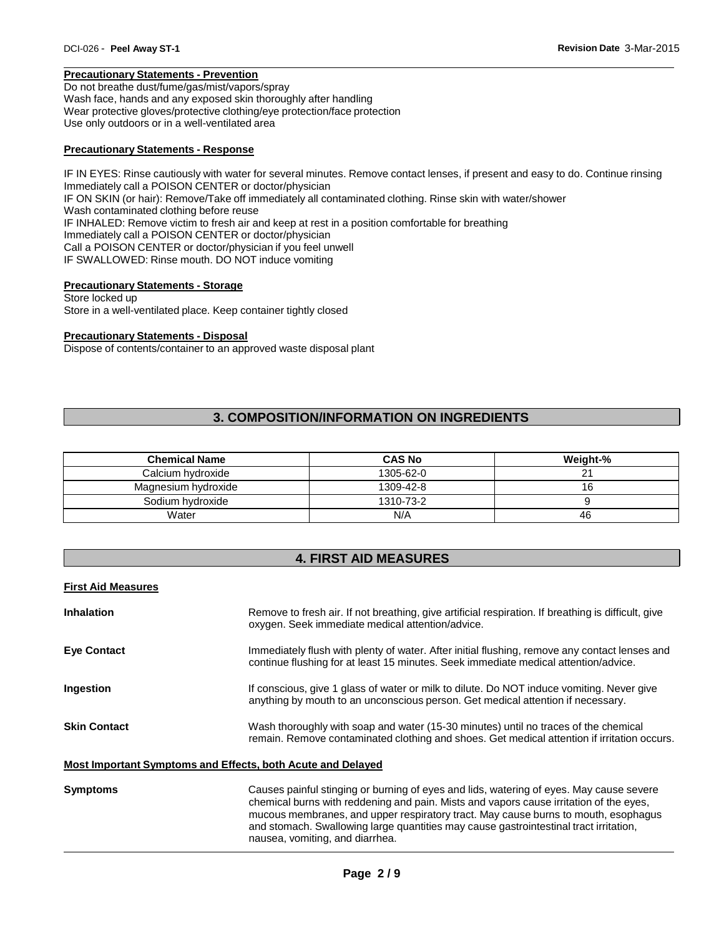#### **Precautionary Statements - Prevention**

Do not breathe dust/fume/gas/mist/vapors/spray Wash face, hands and any exposed skin thoroughly after handling Wear protective gloves/protective clothing/eye protection/face protection Use only outdoors or in a well-ventilated area

#### **Precautionary Statements - Response**

IF IN EYES: Rinse cautiously with water for several minutes. Remove contact lenses, if present and easy to do. Continue rinsing Immediately call a POISON CENTER or doctor/physician IF ON SKIN (or hair): Remove/Take off immediately all contaminated clothing. Rinse skin with water/shower Wash contaminated clothing before reuse IF INHALED: Remove victim to fresh air and keep at rest in a position comfortable for breathing Immediately call a POISON CENTER or doctor/physician Call a POISON CENTER or doctor/physician if you feel unwell IF SWALLOWED: Rinse mouth. DO NOT induce vomiting

#### **Precautionary Statements - Storage**

Store locked up Store in a well-ventilated place. Keep container tightly closed

#### **Precautionary Statements - Disposal**

Dispose of contents/container to an approved waste disposal plant

### **3. COMPOSITION/INFORMATION ON INGREDIENTS**

| <b>Chemical Name</b> | <b>CAS No</b> | Weight-% |
|----------------------|---------------|----------|
| Calcium hydroxide    | 1305-62-0     | າ 1      |
| Magnesium hydroxide  | 1309-42-8     | 16       |
| Sodium hydroxide     | 1310-73-2     |          |
| Water                | N/A           | 46       |

### **4. FIRST AID MEASURES**

# **First Aid Measures Inhalation** Remove to fresh air. If not breathing, give artificial respiration. If breathing is difficult, give oxygen. Seek immediate medical attention/advice. **Eye Contact** Immediately flush with plenty of water. After initial flushing, remove any contact lenses and continue flushing for at least 15 minutes. Seek immediate medical attention/advice. **Ingestion** If conscious, give 1 glass of water or milk to dilute. Do NOT induce vomiting. Never give anything by mouth to an unconscious person. Get medical attention if necessary. **Skin Contact** Wash thoroughly with soap and water (15-30 minutes) until no traces of the chemical remain. Remove contaminated clothing and shoes. Get medical attention if irritation occurs. **Most Important Symptoms and Effects, both Acute and Delayed Symptoms** Causes painful stinging or burning of eyes and lids, watering of eyes. May cause severe chemical burns with reddening and pain. Mists and vapors cause irritation of the eyes, mucous membranes, and upper respiratory tract. May cause burns to mouth, esophagus and stomach. Swallowing large quantities may cause gastrointestinal tract irritation,

nausea, vomiting, and diarrhea.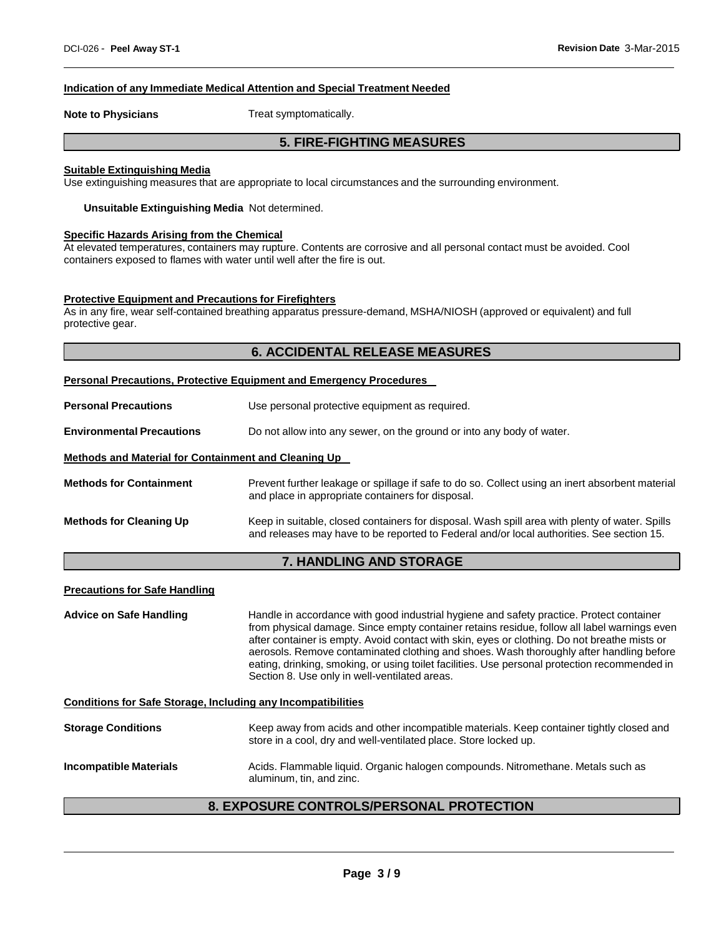#### **Indication of any Immediate Medical Attention and Special Treatment Needed**

**Note to Physicians** Treat symptomatically.

### **5. FIRE-FIGHTING MEASURES**

#### **Suitable Extinguishing Media**

Use extinguishing measures that are appropriate to local circumstances and the surrounding environment.

**Unsuitable Extinguishing Media** Not determined.

#### **Specific Hazards Arising from the Chemical**

At elevated temperatures, containers may rupture. Contents are corrosive and all personal contact must be avoided. Cool containers exposed to flames with water until well after the fire is out.

#### **Protective Equipment and Precautions for Firefighters**

As in any fire, wear self-contained breathing apparatus pressure-demand, MSHA/NIOSH (approved or equivalent) and full protective gear.

#### **6. ACCIDENTAL RELEASE MEASURES**

#### **Personal Precautions, Protective Equipment and Emergency Procedures**

| <b>Personal Precautions</b>                          | Use personal protective equipment as required.                                                                                                                                              |  |
|------------------------------------------------------|---------------------------------------------------------------------------------------------------------------------------------------------------------------------------------------------|--|
| <b>Environmental Precautions</b>                     | Do not allow into any sewer, on the ground or into any body of water.                                                                                                                       |  |
| Methods and Material for Containment and Cleaning Up |                                                                                                                                                                                             |  |
| <b>Methods for Containment</b>                       | Prevent further leakage or spillage if safe to do so. Collect using an inert absorbent material<br>and place in appropriate containers for disposal.                                        |  |
| <b>Methods for Cleaning Up</b>                       | Keep in suitable, closed containers for disposal. Wash spill area with plenty of water. Spills<br>and releases may have to be reported to Federal and/or local authorities. See section 15. |  |

### **7. HANDLING AND STORAGE**

#### **Precautions for Safe Handling**

**Advice on Safe Handling** Handle in accordance with good industrial hygiene and safety practice. Protect container from physical damage. Since empty container retains residue, follow all label warnings even after container is empty. Avoid contact with skin, eyes or clothing. Do not breathe mists or aerosols. Remove contaminated clothing and shoes. Wash thoroughly after handling before eating, drinking, smoking, or using toilet facilities. Use personal protection recommended in Section 8. Use only in well-ventilated areas.

**Conditions for Safe Storage, Including any Incompatibilities**

| <b>Storage Conditions</b>     | Keep away from acids and other incompatible materials. Keep container tightly closed and<br>store in a cool, dry and well-ventilated place. Store locked up. |
|-------------------------------|--------------------------------------------------------------------------------------------------------------------------------------------------------------|
| <b>Incompatible Materials</b> | Acids. Flammable liquid. Organic halogen compounds. Nitromethane. Metals such as                                                                             |

aluminum, tin, and zinc.

### **8. EXPOSURE CONTROLS/PERSONAL PROTECTION**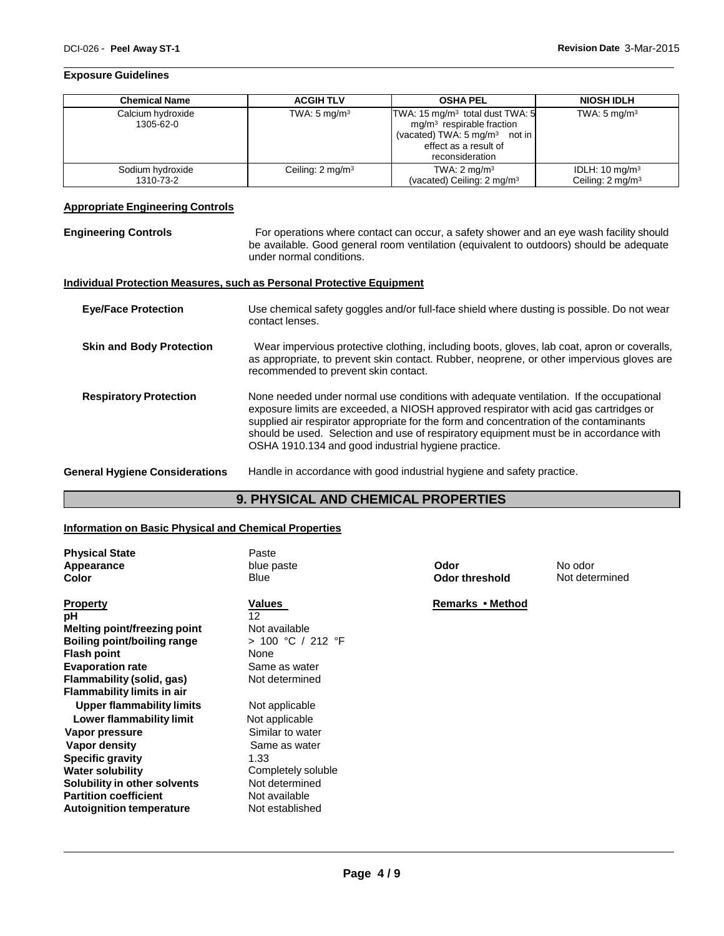#### **Exposure Guidelines**

| <b>Chemical Name</b>           | <b>ACGIH TLV</b>            | <b>OSHA PEL</b>                                                                                                                                                    | <b>NIOSH IDLH</b>                                        |
|--------------------------------|-----------------------------|--------------------------------------------------------------------------------------------------------------------------------------------------------------------|----------------------------------------------------------|
| Calcium hydroxide<br>1305-62-0 | TWA: $5 \text{ mg/m}^3$     | TWA: 15 mg/m <sup>3</sup> total dust TWA: 5<br>$mg/m3$ respirable fraction<br>(vacated) TWA: $5 \text{ mg/m}^3$ not in<br>effect as a result of<br>reconsideration | TWA: $5 \text{ mg/m}^3$                                  |
| Sodium hydroxide<br>1310-73-2  | Ceiling: $2 \text{ mg/m}^3$ | TWA: $2 \text{ mg/m}^3$<br>(vacated) Ceiling: $2 \text{ mg/m}^3$                                                                                                   | IDLH: $10 \text{ mg/m}^3$<br>Ceiling: $2 \text{ mg/m}^3$ |

#### **Appropriate Engineering Controls**

**Engineering Controls** For operations where contact can occur, a safety shower and an eye wash facility should be available. Good general room ventilation (equivalent to outdoors) should be adequate under normal conditions.

#### **Individual Protection Measures, such as Personal Protective Equipment**

| <b>Eye/Face Protection</b>            | Use chemical safety goggles and/or full-face shield where dusting is possible. Do not wear<br>contact lenses.                                                                                                                                                                                                                                                                                                             |
|---------------------------------------|---------------------------------------------------------------------------------------------------------------------------------------------------------------------------------------------------------------------------------------------------------------------------------------------------------------------------------------------------------------------------------------------------------------------------|
| <b>Skin and Body Protection</b>       | Wear impervious protective clothing, including boots, gloves, lab coat, apron or coveralls,<br>as appropriate, to prevent skin contact. Rubber, neoprene, or other impervious gloves are<br>recommended to prevent skin contact.                                                                                                                                                                                          |
| <b>Respiratory Protection</b>         | None needed under normal use conditions with adequate ventilation. If the occupational<br>exposure limits are exceeded, a NIOSH approved respirator with acid gas cartridges or<br>supplied air respirator appropriate for the form and concentration of the contaminants<br>should be used. Selection and use of respiratory equipment must be in accordance with<br>OSHA 1910.134 and good industrial hygiene practice. |
| <b>General Hygiene Considerations</b> | Handle in accordance with good industrial hygiene and safety practice.                                                                                                                                                                                                                                                                                                                                                    |

### **9. PHYSICAL AND CHEMICAL PROPERTIES**

#### **Information on Basic Physical and Chemical Properties**

| <b>Physical State</b><br><b>Appearance</b><br>Color | Paste<br>blue paste<br>Blue | Odor<br><b>Odor threshold</b> | No odor<br>Not determined |
|-----------------------------------------------------|-----------------------------|-------------------------------|---------------------------|
| Property                                            | Values                      | Remarks • Method              |                           |
| рH                                                  | 12                          |                               |                           |
| Melting point/freezing point                        | Not available               |                               |                           |
| <b>Boiling point/boiling range</b>                  | > 100 °C / 212 °F           |                               |                           |
| <b>Flash point</b>                                  | None                        |                               |                           |
| <b>Evaporation rate</b>                             | Same as water               |                               |                           |
| Flammability (solid, gas)                           | Not determined              |                               |                           |
| <b>Flammability limits in air</b>                   |                             |                               |                           |
| <b>Upper flammability limits</b>                    | Not applicable              |                               |                           |
| Lower flammability limit                            | Not applicable              |                               |                           |
| Vapor pressure                                      | Similar to water            |                               |                           |
| Vapor density                                       | Same as water               |                               |                           |
| <b>Specific gravity</b>                             | 1.33                        |                               |                           |
| <b>Water solubility</b>                             | Completely soluble          |                               |                           |
| Solubility in other solvents                        | Not determined              |                               |                           |
| <b>Partition coefficient</b>                        | Not available               |                               |                           |
| <b>Autoignition temperature</b>                     | Not established             |                               |                           |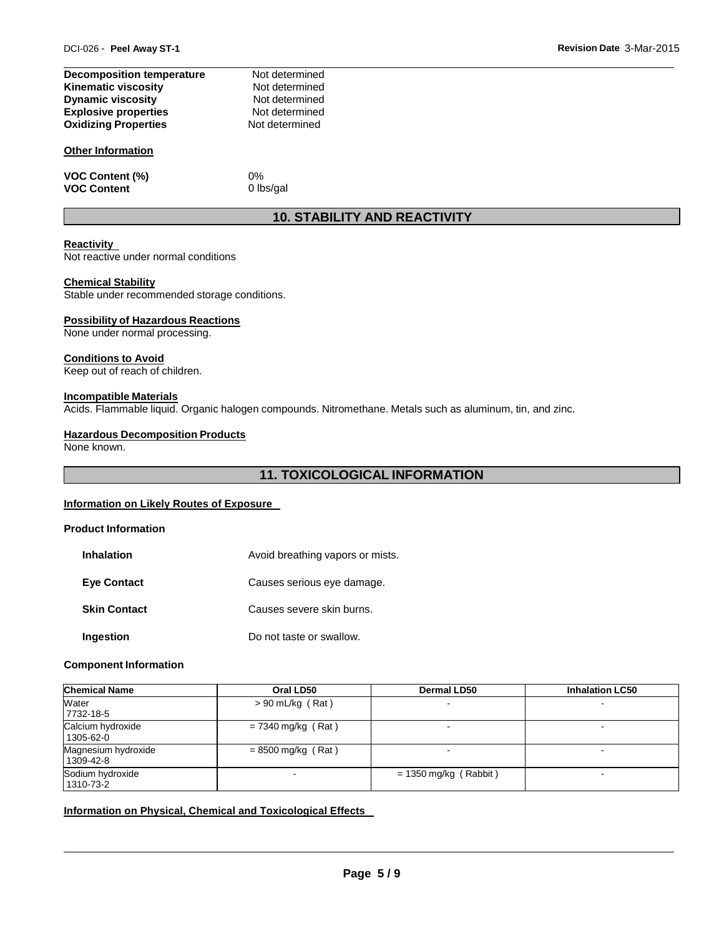| <b>Decomposition temperature</b> | Not determined |
|----------------------------------|----------------|
| <b>Kinematic viscosity</b>       | Not determined |
| <b>Dynamic viscosity</b>         | Not determined |
| <b>Explosive properties</b>      | Not determined |
| <b>Oxidizing Properties</b>      | Not determined |
|                                  |                |

#### **Other Information**

**VOC Content (%)** 0%<br> **VOC Content 0** lbs/gal **VOC** Content

### **10. STABILITY AND REACTIVITY**

#### **Reactivity**

Not reactive under normal conditions

#### **Chemical Stability**

Stable under recommended storage conditions.

#### **Possibility of Hazardous Reactions**

None under normal processing.

#### **Conditions to Avoid**

Keep out of reach of children.

#### **Incompatible Materials**

Acids. Flammable liquid. Organic halogen compounds. Nitromethane. Metals such as aluminum, tin, and zinc.

#### **Hazardous Decomposition Products**

None known.

### **11. TOXICOLOGICAL INFORMATION**

#### **Information on Likely Routes of Exposure**

#### **Product Information**

| <b>Inhalation</b>   | Avoid breathing vapors or mists. |
|---------------------|----------------------------------|
| <b>Eve Contact</b>  | Causes serious eye damage.       |
| <b>Skin Contact</b> | Causes severe skin burns.        |
| Ingestion           | Do not taste or swallow.         |

#### **Component Information**

| <b>Chemical Name</b>             | Oral LD50            | <b>Dermal LD50</b>      | <b>Inhalation LC50</b>   |
|----------------------------------|----------------------|-------------------------|--------------------------|
| Water<br>7732-18-5               | $> 90$ mL/kg (Rat)   |                         |                          |
| Calcium hydroxide<br>1305-62-0   | $= 7340$ mg/kg (Rat) |                         | $\overline{\phantom{0}}$ |
| Magnesium hydroxide<br>1309-42-8 | $= 8500$ mg/kg (Rat) |                         | -                        |
| Sodium hydroxide<br>1310-73-2    |                      | $= 1350$ mg/kg (Rabbit) |                          |

#### **Information on Physical, Chemical and Toxicological Effects**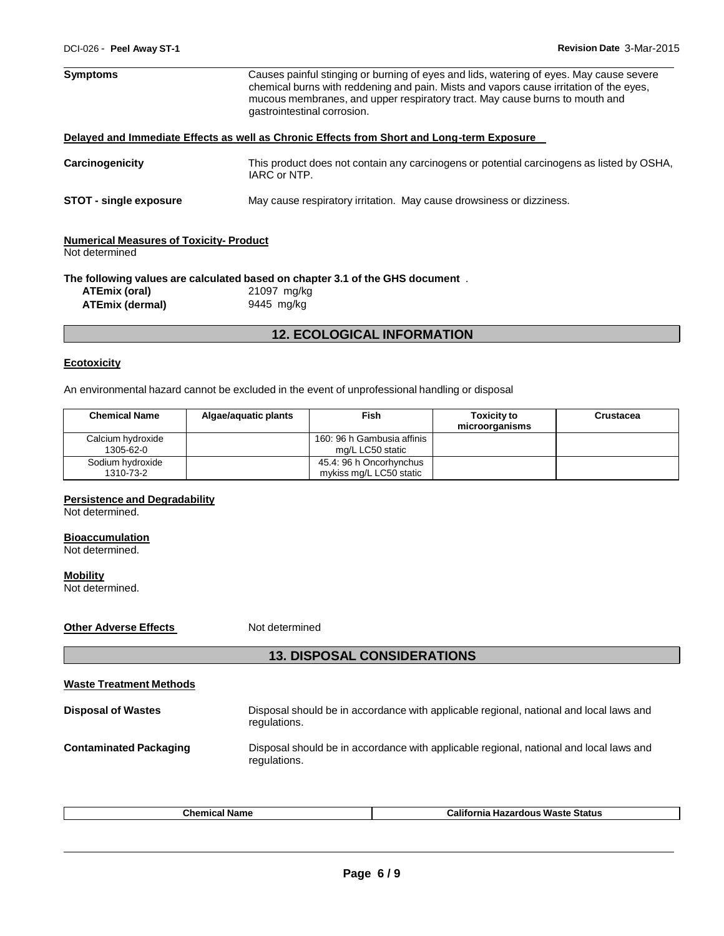| <b>Symptoms</b>                                                 | Causes painful stinging or burning of eyes and lids, watering of eyes. May cause severe<br>chemical burns with reddening and pain. Mists and vapors cause irritation of the eyes,<br>mucous membranes, and upper respiratory tract. May cause burns to mouth and<br>gastrointestinal corrosion. |  |
|-----------------------------------------------------------------|-------------------------------------------------------------------------------------------------------------------------------------------------------------------------------------------------------------------------------------------------------------------------------------------------|--|
|                                                                 | Delayed and Immediate Effects as well as Chronic Effects from Short and Long-term Exposure                                                                                                                                                                                                      |  |
| Carcinogenicity                                                 | This product does not contain any carcinogens or potential carcinogens as listed by OSHA,<br>IARC or NTP.                                                                                                                                                                                       |  |
| <b>STOT - single exposure</b>                                   | May cause respiratory irritation. May cause drowsiness or dizziness.                                                                                                                                                                                                                            |  |
| <b>Numerical Measures of Toxicity-Product</b><br>Not determined |                                                                                                                                                                                                                                                                                                 |  |
|                                                                 | The following values are calculated based on chapter 3.1 of the GHS document.                                                                                                                                                                                                                   |  |
| ATEmix (oral)                                                   | 21097 mg/kg                                                                                                                                                                                                                                                                                     |  |
| 9445 mg/kg<br><b>ATEmix (dermal)</b>                            |                                                                                                                                                                                                                                                                                                 |  |

### **12. ECOLOGICAL INFORMATION**

#### **Ecotoxicity**

An environmental hazard cannot be excluded in the event of unprofessional handling or disposal

| <b>Chemical Name</b>           | Algae/aguatic plants | Fish                                               | <b>Toxicity to</b><br>microorganisms | Crustacea |
|--------------------------------|----------------------|----------------------------------------------------|--------------------------------------|-----------|
| Calcium hydroxide<br>1305-62-0 |                      | 160: 96 h Gambusia affinis<br>mg/L LC50 static     |                                      |           |
| Sodium hydroxide<br>1310-73-2  |                      | 45.4: 96 h Oncorhynchus<br>mykiss mg/L LC50 static |                                      |           |

#### **Persistence and Degradability**

Not determined.

#### **Bioaccumulation**

Not determined.

**Mobility** Not determined.

**Other Adverse Effects** Not determined

## **13. DISPOSAL CONSIDERATIONS**

| <b>Waste Treatment Methods</b> |                                                                                                        |
|--------------------------------|--------------------------------------------------------------------------------------------------------|
| <b>Disposal of Wastes</b>      | Disposal should be in accordance with applicable regional, national and local laws and<br>regulations. |
| <b>Contaminated Packaging</b>  | Disposal should be in accordance with applicable regional, national and local laws and<br>regulations. |

| ∶hon<br>ame | <br>⊦Waste Status<br><b>Californi</b> a<br><b>Hazardous</b><br>ornia |
|-------------|----------------------------------------------------------------------|
|             |                                                                      |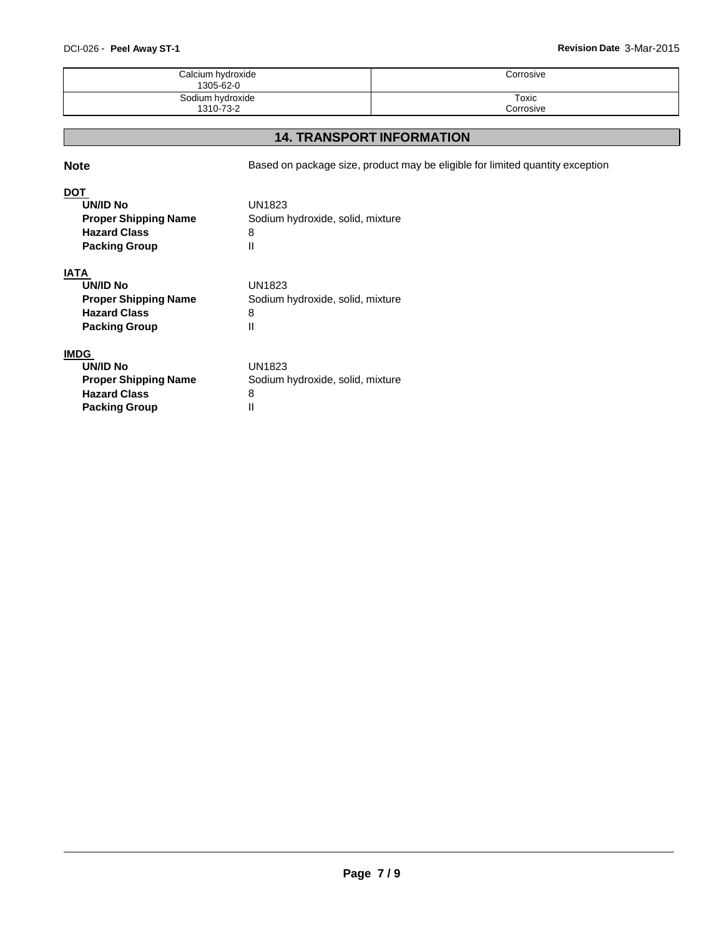### DCI-026 - **Peel Away ST-1 Revision Date** 3-Mar-2015

| Calcium hydroxide<br>1305-62-0 | Corrosive |
|--------------------------------|-----------|
| Sodium hydroxide               | Toxic     |
| 1310-73-2                      | Corrosive |

### **14. TRANSPORT INFORMATION**

**Note** Based on package size, product may be eligible for limited quantity exception

### **DOT**

| UN/ID No                    | <b>UN1823</b>                    |
|-----------------------------|----------------------------------|
| <b>Proper Shipping Name</b> | Sodium hydroxide, solid, mixture |
| <b>Hazard Class</b>         | 8                                |
| <b>Packing Group</b>        |                                  |

### **IATA**

| UN/ID No                    | UN1823                           |
|-----------------------------|----------------------------------|
| <b>Proper Shipping Name</b> | Sodium hydroxide, solid, mixture |
| <b>Hazard Class</b>         | 8                                |
| <b>Packing Group</b>        |                                  |

### **IMDG**

| UN/ID No                    | UN1823                           |
|-----------------------------|----------------------------------|
| <b>Proper Shipping Name</b> | Sodium hydroxide, solid, mixture |
| <b>Hazard Class</b>         | 8                                |
| <b>Packing Group</b>        |                                  |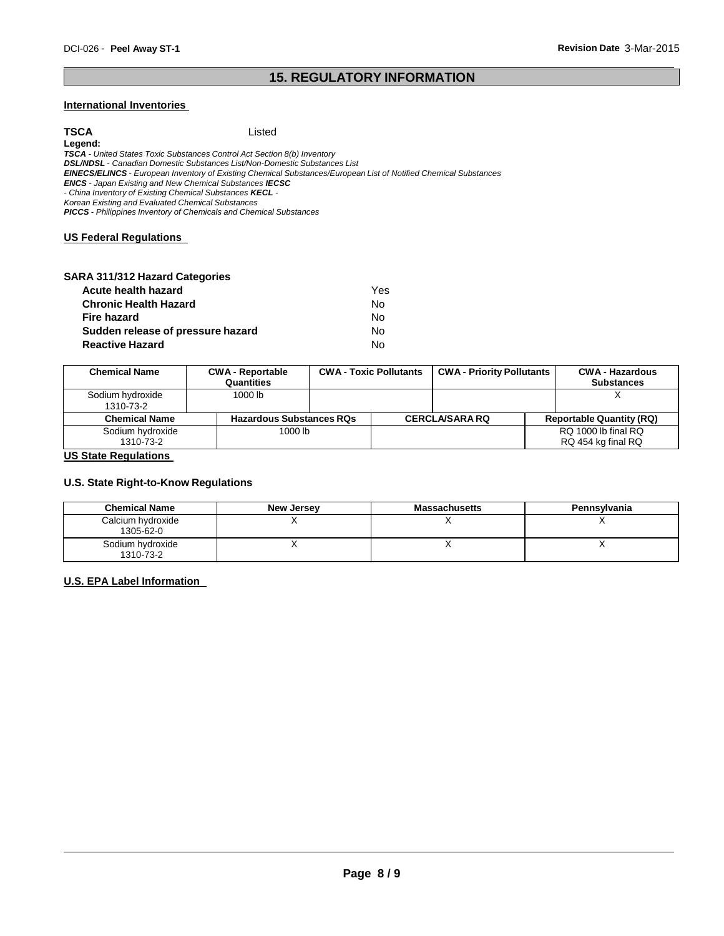### **15. REGULATORY INFORMATION**

#### **International Inventories**

**TSCA** Listed **Legend:** *TSCA - United States Toxic Substances Control Act Section 8(b) Inventory DSL/NDSL - Canadian Domestic Substances List/Non-Domestic Substances List EINECS/ELINCS - European Inventory of Existing Chemical Substances/European List of Notified Chemical Substances ENCS - Japan Existing and New Chemical Substances IECSC - China Inventory of Existing Chemical Substances KECL - Korean Existing and Evaluated Chemical Substances PICCS - Philippines Inventory of Chemicals and Chemical Substances* **US Federal Regulations** 

| SARA 311/312 Hazard Categories    |     |
|-----------------------------------|-----|
| Acute health hazard               | Yes |
| <b>Chronic Health Hazard</b>      | No  |
| <b>Fire hazard</b>                | No  |
| Sudden release of pressure hazard | No  |
| <b>Reactive Hazard</b>            | N٥  |

| <b>Chemical Name</b>          | <b>CWA - Reportable</b><br>Quantities | <b>CWA - Toxic Pollutants</b> | <b>CWA - Priority Pollutants</b> | <b>CWA - Hazardous</b><br><b>Substances</b> |
|-------------------------------|---------------------------------------|-------------------------------|----------------------------------|---------------------------------------------|
| Sodium hydroxide<br>1310-73-2 | 1000 lb                               |                               |                                  |                                             |
| <b>Chemical Name</b>          | <b>Hazardous Substances RQs</b>       |                               | <b>CERCLA/SARA RQ</b>            | <b>Reportable Quantity (RQ)</b>             |
| Sodium hydroxide<br>1310-73-2 | 1000 lb                               |                               |                                  | RQ 1000 lb final RQ<br>RQ 454 kg final RQ   |

#### **US State Regulations**

#### **U.S. State Right-to-Know Regulations**

| <b>Chemical Name</b>           | <b>New Jersey</b> | <b>Massachusetts</b> | Pennsylvania |
|--------------------------------|-------------------|----------------------|--------------|
| Calcium hydroxide<br>1305-62-0 |                   |                      |              |
| Sodium hydroxide<br>1310-73-2  |                   |                      |              |

#### **U.S. EPA Label Information**